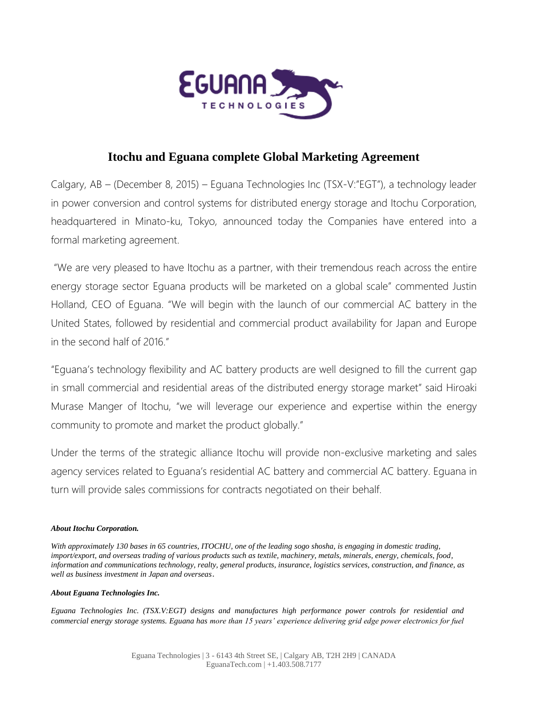

## **Itochu and Eguana complete Global Marketing Agreement**

Calgary, AB – (December 8, 2015) – Eguana Technologies Inc (TSX-V:"EGT"), a technology leader in power conversion and control systems for distributed energy storage and Itochu Corporation, headquartered in Minato-ku, Tokyo, announced today the Companies have entered into a formal marketing agreement.

"We are very pleased to have Itochu as a partner, with their tremendous reach across the entire energy storage sector Eguana products will be marketed on a global scale" commented Justin Holland, CEO of Eguana. "We will begin with the launch of our commercial AC battery in the United States, followed by residential and commercial product availability for Japan and Europe in the second half of 2016."

"Eguana's technology flexibility and AC battery products are well designed to fill the current gap in small commercial and residential areas of the distributed energy storage market" said Hiroaki Murase Manger of Itochu, "we will leverage our experience and expertise within the energy community to promote and market the product globally."

Under the terms of the strategic alliance Itochu will provide non-exclusive marketing and sales agency services related to Eguana's residential AC battery and commercial AC battery. Eguana in turn will provide sales commissions for contracts negotiated on their behalf.

## *About Itochu Corporation.*

*With approximately 130 bases in 65 countries, ITOCHU, one of the leading sogo shosha, is engaging in domestic trading, import/export, and overseas trading of various products such as textile, machinery, metals, minerals, energy, chemicals, food, information and communications technology, realty, general products, insurance, logistics services, construction, and finance, as well as business investment in Japan and overseas*.

## *About Eguana Technologies Inc.*

*Eguana Technologies Inc. (TSX.V:EGT) designs and manufactures high performance power controls for residential and commercial energy storage systems. Eguana has more than 15 years' experience delivering grid edge power electronics for fuel*